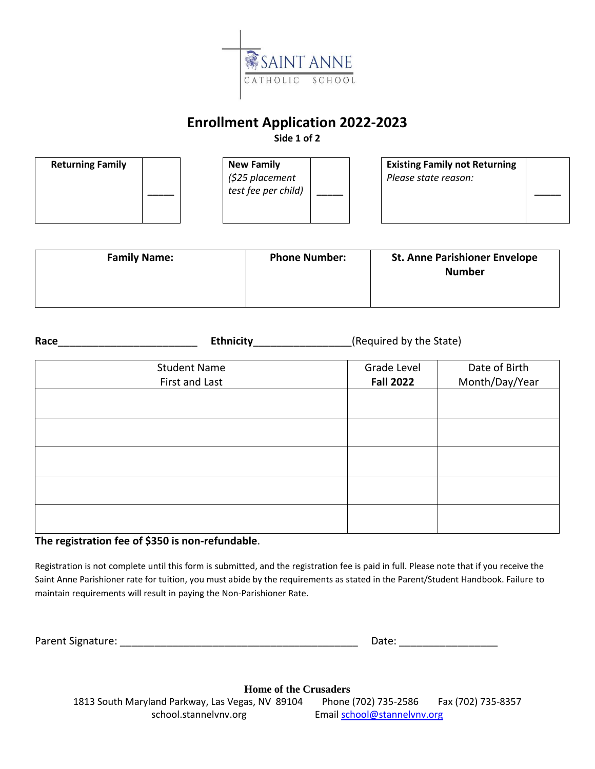

## **Enrollment Application 2022-2023**

**Side 1 of 2**

| <b>Returning Family</b> | <b>New Family</b><br>(\$25 placement<br>test fee per child) | <b>Existing Family not Returning</b><br>Please state reason: |
|-------------------------|-------------------------------------------------------------|--------------------------------------------------------------|
|-------------------------|-------------------------------------------------------------|--------------------------------------------------------------|

| <b>Family Name:</b> | <b>Phone Number:</b> | <b>St. Anne Parishioner Envelope</b><br><b>Number</b> |
|---------------------|----------------------|-------------------------------------------------------|
|                     |                      |                                                       |

| Race | <b>Ethnicity</b>                      | (Required by the State)         |                                 |
|------|---------------------------------------|---------------------------------|---------------------------------|
|      | <b>Student Name</b><br>First and Last | Grade Level<br><b>Fall 2022</b> | Date of Birth<br>Month/Day/Year |
|      |                                       |                                 |                                 |
|      |                                       |                                 |                                 |
|      |                                       |                                 |                                 |
|      |                                       |                                 |                                 |

### **The registration fee of \$350 is non-refundable**.

Registration is not complete until this form is submitted, and the registration fee is paid in full. Please note that if you receive the Saint Anne Parishioner rate for tuition, you must abide by the requirements as stated in the Parent/Student Handbook. Failure to maintain requirements will result in paying the Non-Parishioner Rate.

Parent Signature: \_\_\_\_\_\_\_\_\_\_\_\_\_\_\_\_\_\_\_\_\_\_\_\_\_\_\_\_\_\_\_\_\_\_\_\_\_\_\_\_\_ Date: \_\_\_\_\_\_\_\_\_\_\_\_\_\_\_\_\_

| Date: |  |
|-------|--|
|       |  |

**Home of the Crusaders**

1813 South Maryland Parkway, Las Vegas, NV 89104 Phone (702) 735-2586 Fax (702) 735-8357 school.stannelvnv.org Email [school@stannelvnv.org](mailto:school@stannelvnv.org)